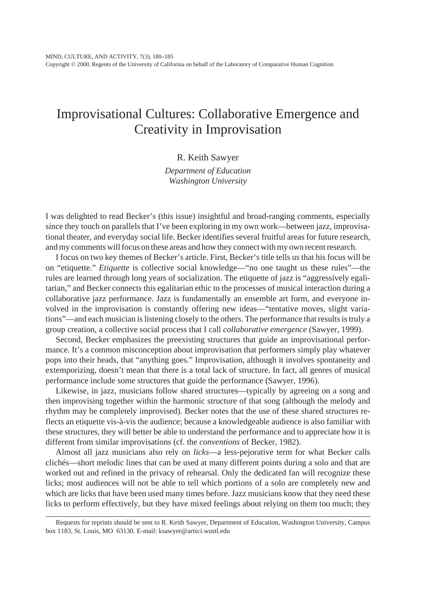# Improvisational Cultures: Collaborative Emergence and Creativity in Improvisation

R. Keith Sawyer

*Department of Education Washington University*

I was delighted to read Becker's (this issue) insightful and broad-ranging comments, especially since they touch on parallels that I've been exploring in my own work—between jazz, improvisational theater, and everyday social life. Becker identifies several fruitful areas for future research, and my comments will focus on these areas and how they connect with my own recent research.

I focus on two key themes of Becker's article. First, Becker's title tells us that his focus will be on "etiquette." *Etiquette* is collective social knowledge—"no one taught us these rules"—the rules are learned through long years of socialization. The etiquette of jazz is "aggressively egalitarian," and Becker connects this egalitarian ethic to the processes of musical interaction during a collaborative jazz performance. Jazz is fundamentally an ensemble art form, and everyone involved in the improvisation is constantly offering new ideas—"tentative moves, slight variations"—and each musician is listening closely to the others. The performance that results is truly a group creation, a collective social process that I call *collaborative emergence* (Sawyer, 1999).

Second, Becker emphasizes the preexisting structures that guide an improvisational performance. It's a common misconception about improvisation that performers simply play whatever pops into their heads, that "anything goes." Improvisation, although it involves spontaneity and extemporizing, doesn't mean that there is a total lack of structure. In fact, all genres of musical performance include some structures that guide the performance (Sawyer, 1996).

Likewise, in jazz, musicians follow shared structures—typically by agreeing on a song and then improvising together within the harmonic structure of that song (although the melody and rhythm may be completely improvised). Becker notes that the use of these shared structures reflects an etiquette vis-à-vis the audience; because a knowledgeable audience is also familiar with these structures, they will better be able to understand the performance and to appreciate how it is different from similar improvisations (cf. the *conventions* of Becker, 1982).

Almost all jazz musicians also rely on *licks*—a less-pejorative term for what Becker calls clichés—short melodic lines that can be used at many different points during a solo and that are worked out and refined in the privacy of rehearsal. Only the dedicated fan will recognize these licks; most audiences will not be able to tell which portions of a solo are completely new and which are licks that have been used many times before. Jazz musicians know that they need these licks to perform effectively, but they have mixed feelings about relying on them too much; they

Requests for reprints should be sent to R. Keith Sawyer, Department of Education, Washington University, Campus box 1183, St. Louis, MO 63130. E-mail: ksawyer@artsci.wustl.edu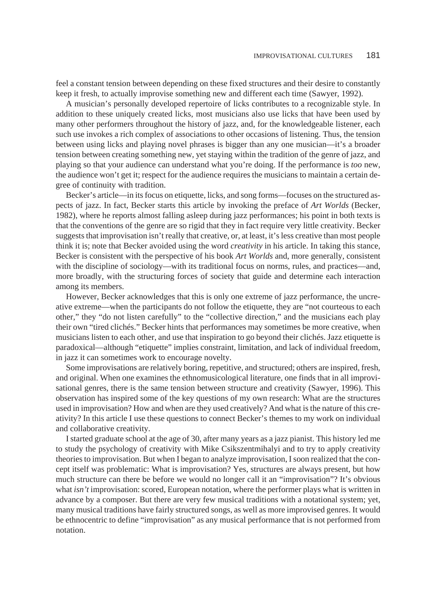feel a constant tension between depending on these fixed structures and their desire to constantly keep it fresh, to actually improvise something new and different each time (Sawyer, 1992).

A musician's personally developed repertoire of licks contributes to a recognizable style. In addition to these uniquely created licks, most musicians also use licks that have been used by many other performers throughout the history of jazz, and, for the knowledgeable listener, each such use invokes a rich complex of associations to other occasions of listening. Thus, the tension between using licks and playing novel phrases is bigger than any one musician—it's a broader tension between creating something new, yet staying within the tradition of the genre of jazz, and playing so that your audience can understand what you're doing. If the performance is *too* new, the audience won't get it; respect for the audience requires the musicians to maintain a certain degree of continuity with tradition.

Becker's article—in its focus on etiquette, licks, and song forms—focuses on the structured aspects of jazz. In fact, Becker starts this article by invoking the preface of *Art Worlds* (Becker, 1982), where he reports almost falling asleep during jazz performances; his point in both texts is that the conventions of the genre are so rigid that they in fact require very little creativity. Becker suggests that improvisation isn't really that creative, or, at least, it's less creative than most people think it is; note that Becker avoided using the word *creativity* in his article. In taking this stance, Becker is consistent with the perspective of his book *Art Worlds* and, more generally, consistent with the discipline of sociology—with its traditional focus on norms, rules, and practices—and, more broadly, with the structuring forces of society that guide and determine each interaction among its members.

However, Becker acknowledges that this is only one extreme of jazz performance, the uncreative extreme—when the participants do not follow the etiquette, they are "not courteous to each other," they "do not listen carefully" to the "collective direction," and the musicians each play their own "tired clichés." Becker hints that performances may sometimes be more creative, when musicians listen to each other, and use that inspiration to go beyond their clichés. Jazz etiquette is paradoxical—although "etiquette" implies constraint, limitation, and lack of individual freedom, in jazz it can sometimes work to encourage novelty.

Some improvisations are relatively boring, repetitive, and structured; others are inspired, fresh, and original. When one examines the ethnomusicological literature, one finds that in all improvisational genres, there is the same tension between structure and creativity (Sawyer, 1996). This observation has inspired some of the key questions of my own research: What are the structures used in improvisation? How and when are they used creatively? And what is the nature of this creativity? In this article I use these questions to connect Becker's themes to my work on individual and collaborative creativity.

I started graduate school at the age of 30, after many years as a jazz pianist. This history led me to study the psychology of creativity with Mike Csikszentmihalyi and to try to apply creativity theories to improvisation. But when I began to analyze improvisation, I soon realized that the concept itself was problematic: What is improvisation? Yes, structures are always present, but how much structure can there be before we would no longer call it an "improvisation"? It's obvious what *isn't* improvisation: scored, European notation, where the performer plays what is written in advance by a composer. But there are very few musical traditions with a notational system; yet, many musical traditions have fairly structured songs, as well as more improvised genres. It would be ethnocentric to define "improvisation" as any musical performance that is not performed from notation.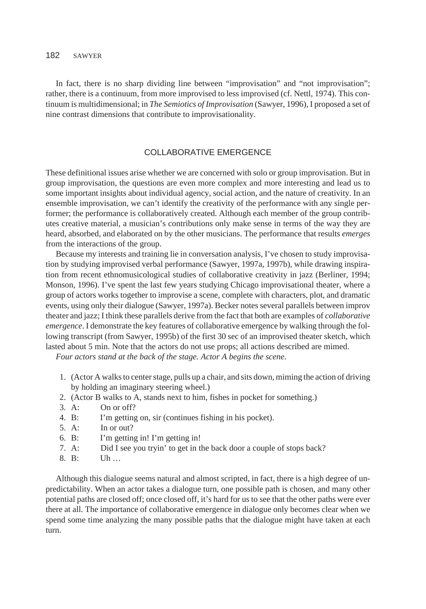## 182 SAWYER

In fact, there is no sharp dividing line between "improvisation" and "not improvisation"; rather, there is a continuum, from more improvised to less improvised (cf. Nettl, 1974). This continuum is multidimensional; in *The Semiotics of Improvisation* (Sawyer, 1996), I proposed a set of nine contrast dimensions that contribute to improvisationality.

# COLLABORATIVE EMERGENCE

These definitional issues arise whether we are concerned with solo or group improvisation. But in group improvisation, the questions are even more complex and more interesting and lead us to some important insights about individual agency, social action, and the nature of creativity. In an ensemble improvisation, we can't identify the creativity of the performance with any single performer; the performance is collaboratively created. Although each member of the group contributes creative material, a musician's contributions only make sense in terms of the way they are heard, absorbed, and elaborated on by the other musicians. The performance that results *emerges* from the interactions of the group.

Because my interests and training lie in conversation analysis, I've chosen to study improvisation by studying improvised verbal performance (Sawyer, 1997a, 1997b), while drawing inspiration from recent ethnomusicological studies of collaborative creativity in jazz (Berliner, 1994; Monson, 1996). I've spent the last few years studying Chicago improvisational theater, where a group of actors works together to improvise a scene, complete with characters, plot, and dramatic events, using only their dialogue (Sawyer, 1997a). Becker notes several parallels between improv theater and jazz; I think these parallels derive from the fact that both are examples of *collaborative emergence*. I demonstrate the key features of collaborative emergence by walking through the following transcript (from Sawyer, 1995b) of the first 30 sec of an improvised theater sketch, which lasted about 5 min. Note that the actors do not use props; all actions described are mimed.

*Four actors stand at the back of the stage. Actor A begins the scene.*

- 1. (Actor A walks to center stage, pulls up a chair, and sits down, miming the action of driving by holding an imaginary steering wheel.)
- 2. (Actor B walks to A, stands next to him, fishes in pocket for something.)
- 3. A: On or off?
- 4. B: I'm getting on, sir (continues fishing in his pocket).
- 5. A: In or out?
- 6. B: I'm getting in! I'm getting in!
- 7. A: Did I see you tryin' to get in the back door a couple of stops back?
- 8. B: Uh …

Although this dialogue seems natural and almost scripted, in fact, there is a high degree of unpredictability. When an actor takes a dialogue turn, one possible path is chosen, and many other potential paths are closed off; once closed off, it's hard for us to see that the other paths were ever there at all. The importance of collaborative emergence in dialogue only becomes clear when we spend some time analyzing the many possible paths that the dialogue might have taken at each turn.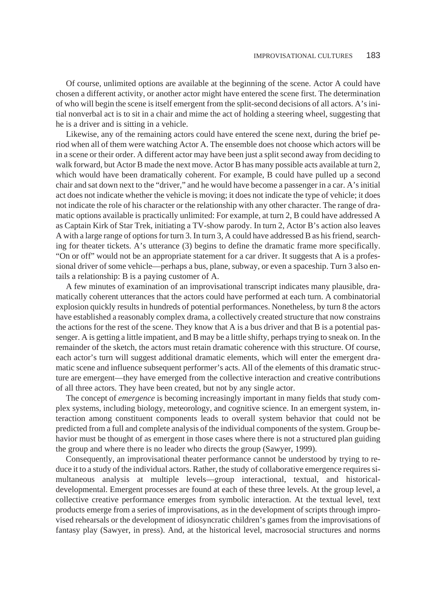Of course, unlimited options are available at the beginning of the scene. Actor A could have chosen a different activity, or another actor might have entered the scene first. The determination of who will begin the scene is itself emergent from the split-second decisions of all actors. A's initial nonverbal act is to sit in a chair and mime the act of holding a steering wheel, suggesting that he is a driver and is sitting in a vehicle.

Likewise, any of the remaining actors could have entered the scene next, during the brief period when all of them were watching Actor A. The ensemble does not choose which actors will be in a scene or their order. A different actor may have been just a split second away from deciding to walk forward, but Actor B made the next move. Actor B has many possible acts available at turn 2, which would have been dramatically coherent. For example, B could have pulled up a second chair and sat down next to the "driver," and he would have become a passenger in a car. A's initial act does not indicate whether the vehicle is moving; it does not indicate the type of vehicle; it does not indicate the role of his character or the relationship with any other character. The range of dramatic options available is practically unlimited: For example, at turn 2, B could have addressed A as Captain Kirk of Star Trek, initiating a TV-show parody. In turn 2, Actor B's action also leaves A with a large range of options for turn 3. In turn 3, A could have addressed B as his friend, searching for theater tickets. A's utterance (3) begins to define the dramatic frame more specifically. "On or off" would not be an appropriate statement for a car driver. It suggests that A is a professional driver of some vehicle—perhaps a bus, plane, subway, or even a spaceship. Turn 3 also entails a relationship: B is a paying customer of A.

A few minutes of examination of an improvisational transcript indicates many plausible, dramatically coherent utterances that the actors could have performed at each turn. A combinatorial explosion quickly results in hundreds of potential performances. Nonetheless, by turn 8 the actors have established a reasonably complex drama, a collectively created structure that now constrains the actions for the rest of the scene. They know that A is a bus driver and that B is a potential passenger. A is getting a little impatient, and B may be a little shifty, perhaps trying to sneak on. In the remainder of the sketch, the actors must retain dramatic coherence with this structure. Of course, each actor's turn will suggest additional dramatic elements, which will enter the emergent dramatic scene and influence subsequent performer's acts. All of the elements of this dramatic structure are emergent—they have emerged from the collective interaction and creative contributions of all three actors. They have been created, but not by any single actor.

The concept of *emergence* is becoming increasingly important in many fields that study complex systems, including biology, meteorology, and cognitive science. In an emergent system, interaction among constituent components leads to overall system behavior that could not be predicted from a full and complete analysis of the individual components of the system. Group behavior must be thought of as emergent in those cases where there is not a structured plan guiding the group and where there is no leader who directs the group (Sawyer, 1999).

Consequently, an improvisational theater performance cannot be understood by trying to reduce it to a study of the individual actors. Rather, the study of collaborative emergence requires simultaneous analysis at multiple levels—group interactional, textual, and historicaldevelopmental. Emergent processes are found at each of these three levels. At the group level, a collective creative performance emerges from symbolic interaction. At the textual level, text products emerge from a series of improvisations, as in the development of scripts through improvised rehearsals or the development of idiosyncratic children's games from the improvisations of fantasy play (Sawyer, in press). And, at the historical level, macrosocial structures and norms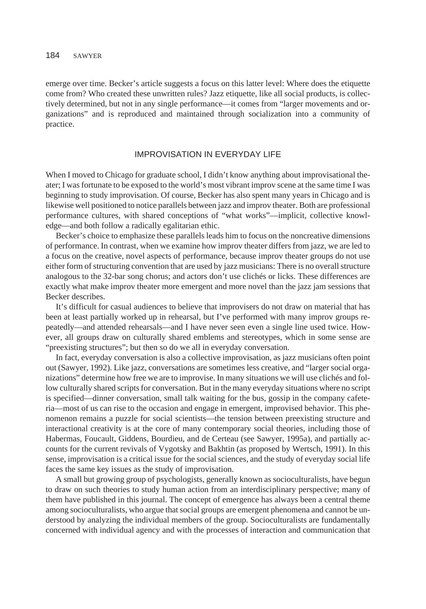emerge over time. Becker's article suggests a focus on this latter level: Where does the etiquette come from? Who created these unwritten rules? Jazz etiquette, like all social products, is collectively determined, but not in any single performance—it comes from "larger movements and organizations" and is reproduced and maintained through socialization into a community of practice.

#### IMPROVISATION IN EVERYDAY LIFE

When I moved to Chicago for graduate school, I didn't know anything about improvisational theater; I was fortunate to be exposed to the world's most vibrant improv scene at the same time I was beginning to study improvisation. Of course, Becker has also spent many years in Chicago and is likewise well positioned to notice parallels between jazz and improv theater. Both are professional performance cultures, with shared conceptions of "what works"—implicit, collective knowledge—and both follow a radically egalitarian ethic.

Becker's choice to emphasize these parallels leads him to focus on the noncreative dimensions of performance. In contrast, when we examine how improv theater differs from jazz, we are led to a focus on the creative, novel aspects of performance, because improv theater groups do not use either form of structuring convention that are used by jazz musicians: There is no overall structure analogous to the 32-bar song chorus; and actors don't use clichés or licks. These differences are exactly what make improv theater more emergent and more novel than the jazz jam sessions that Becker describes.

It's difficult for casual audiences to believe that improvisers do not draw on material that has been at least partially worked up in rehearsal, but I've performed with many improv groups repeatedly—and attended rehearsals—and I have never seen even a single line used twice. However, all groups draw on culturally shared emblems and stereotypes, which in some sense are "preexisting structures"; but then so do we all in everyday conversation.

In fact, everyday conversation is also a collective improvisation, as jazz musicians often point out (Sawyer, 1992). Like jazz, conversations are sometimes less creative, and "larger social organizations" determine how free we are to improvise. In many situations we will use clichés and follow culturally shared scripts for conversation. But in the many everyday situations where no script is specified—dinner conversation, small talk waiting for the bus, gossip in the company cafeteria—most of us can rise to the occasion and engage in emergent, improvised behavior. This phenomenon remains a puzzle for social scientists—the tension between preexisting structure and interactional creativity is at the core of many contemporary social theories, including those of Habermas, Foucault, Giddens, Bourdieu, and de Certeau (see Sawyer, 1995a), and partially accounts for the current revivals of Vygotsky and Bakhtin (as proposed by Wertsch, 1991). In this sense, improvisation is a critical issue for the social sciences, and the study of everyday social life faces the same key issues as the study of improvisation.

A small but growing group of psychologists, generally known as socioculturalists, have begun to draw on such theories to study human action from an interdisciplinary perspective; many of them have published in this journal. The concept of emergence has always been a central theme among socioculturalists, who argue that social groups are emergent phenomena and cannot be understood by analyzing the individual members of the group. Socioculturalists are fundamentally concerned with individual agency and with the processes of interaction and communication that